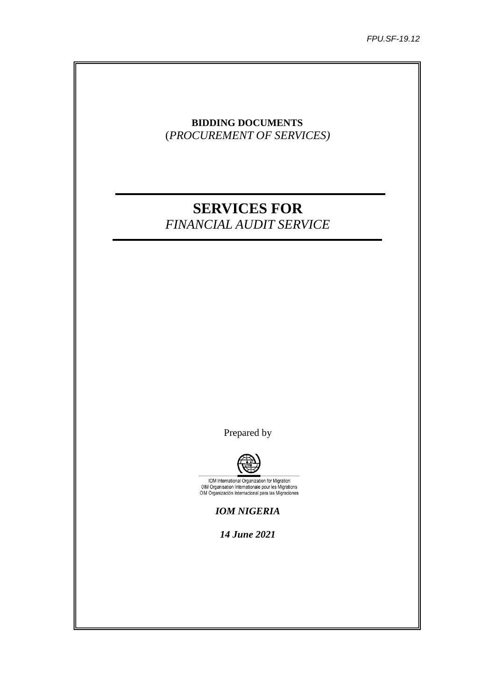# **BIDDING DOCUMENTS** (*PROCUREMENT OF SERVICES)*

# **SERVICES FOR**  *FINANCIAL AUDIT SERVICE*

Prepared by



IOM International Organization for Migration<br>OIM Organisation Internationale pour les Migrations<br>OIM Organización Internacional para las Migraciones

*IOM NIGERIA*

*14 June 2021*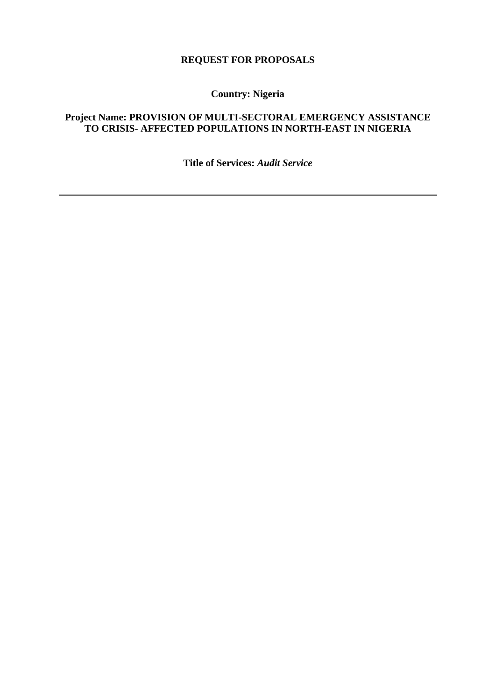# **REQUEST FOR PROPOSALS**

**Country: Nigeria**

# **Project Name: PROVISION OF MULTI-SECTORAL EMERGENCY ASSISTANCE TO CRISIS- AFFECTED POPULATIONS IN NORTH-EAST IN NIGERIA**

**Title of Services:** *Audit Service*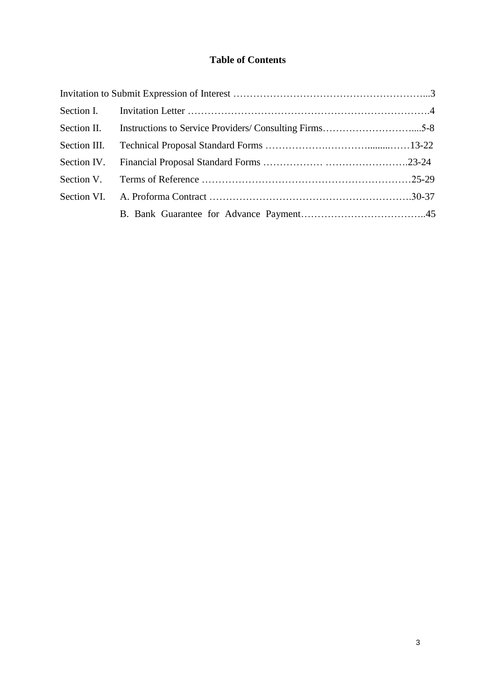# **Table of Contents**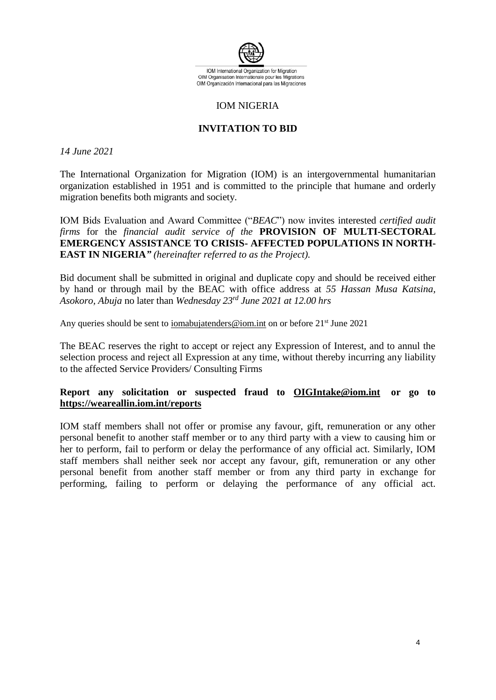

## IOM NIGERIA

# **INVITATION TO BID**

## *14 June 2021*

The International Organization for Migration (IOM) is an intergovernmental humanitarian organization established in 1951 and is committed to the principle that humane and orderly migration benefits both migrants and society.

IOM Bids Evaluation and Award Committee ("*BEAC*") now invites interested *certified audit firms* for the *financial audit service of the* **PROVISION OF MULTI-SECTORAL EMERGENCY ASSISTANCE TO CRISIS- AFFECTED POPULATIONS IN NORTH-EAST IN NIGERIA***" (hereinafter referred to as the Project).*

Bid document shall be submitted in original and duplicate copy and should be received either by hand or through mail by the BEAC with office address at *55 Hassan Musa Katsina, Asokoro, Abuja* no later than *Wednesday 23rd June 2021 at 12.00 hrs*

Any queries should be sent to [iomabujatenders@iom.int](mailto:iomabujatenders@iom.int) on or before 21<sup>st</sup> June 2021

The BEAC reserves the right to accept or reject any Expression of Interest, and to annul the selection process and reject all Expression at any time, without thereby incurring any liability to the affected Service Providers/ Consulting Firms

# **Report any solicitation or suspected fraud to [OIGIntake@iom.int](mailto:OIGIntake@iom.int) or go to <https://weareallin.iom.int/reports>**

IOM staff members shall not offer or promise any favour, gift, remuneration or any other personal benefit to another staff member or to any third party with a view to causing him or her to perform, fail to perform or delay the performance of any official act. Similarly, IOM staff members shall neither seek nor accept any favour, gift, remuneration or any other personal benefit from another staff member or from any third party in exchange for performing, failing to perform or delaying the performance of any official act.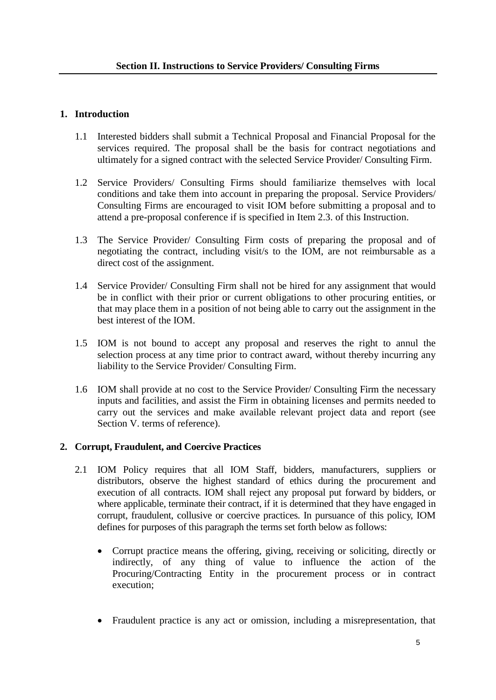# **1. Introduction**

- 1.1 Interested bidders shall submit a Technical Proposal and Financial Proposal for the services required. The proposal shall be the basis for contract negotiations and ultimately for a signed contract with the selected Service Provider/ Consulting Firm.
- 1.2 Service Providers/ Consulting Firms should familiarize themselves with local conditions and take them into account in preparing the proposal. Service Providers/ Consulting Firms are encouraged to visit IOM before submitting a proposal and to attend a pre-proposal conference if is specified in Item 2.3. of this Instruction.
- 1.3 The Service Provider/ Consulting Firm costs of preparing the proposal and of negotiating the contract, including visit/s to the IOM, are not reimbursable as a direct cost of the assignment.
- 1.4 Service Provider/ Consulting Firm shall not be hired for any assignment that would be in conflict with their prior or current obligations to other procuring entities, or that may place them in a position of not being able to carry out the assignment in the best interest of the IOM.
- 1.5 IOM is not bound to accept any proposal and reserves the right to annul the selection process at any time prior to contract award, without thereby incurring any liability to the Service Provider/ Consulting Firm.
- 1.6 IOM shall provide at no cost to the Service Provider/ Consulting Firm the necessary inputs and facilities, and assist the Firm in obtaining licenses and permits needed to carry out the services and make available relevant project data and report (see Section V. terms of reference).

# **2. Corrupt, Fraudulent, and Coercive Practices**

- 2.1 IOM Policy requires that all IOM Staff, bidders, manufacturers, suppliers or distributors, observe the highest standard of ethics during the procurement and execution of all contracts. IOM shall reject any proposal put forward by bidders, or where applicable, terminate their contract, if it is determined that they have engaged in corrupt, fraudulent, collusive or coercive practices. In pursuance of this policy, IOM defines for purposes of this paragraph the terms set forth below as follows:
	- Corrupt practice means the offering, giving, receiving or soliciting, directly or indirectly, of any thing of value to influence the action of the Procuring/Contracting Entity in the procurement process or in contract execution;
	- Fraudulent practice is any act or omission, including a misrepresentation, that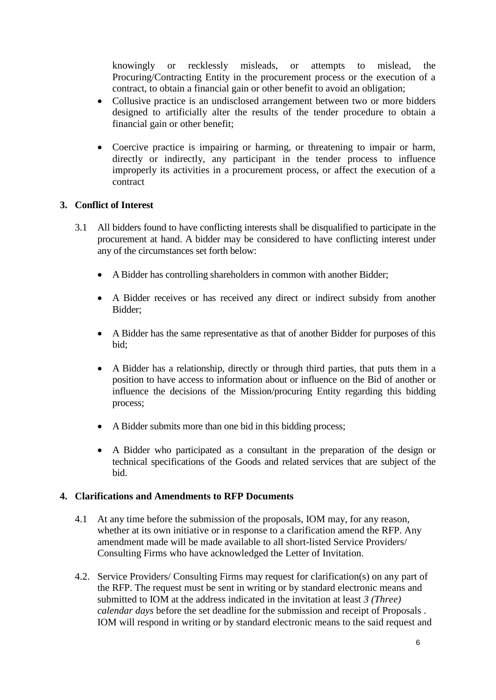knowingly or recklessly misleads, or attempts to mislead, the Procuring/Contracting Entity in the procurement process or the execution of a contract, to obtain a financial gain or other benefit to avoid an obligation;

- Collusive practice is an undisclosed arrangement between two or more bidders designed to artificially alter the results of the tender procedure to obtain a financial gain or other benefit;
- Coercive practice is impairing or harming, or threatening to impair or harm, directly or indirectly, any participant in the tender process to influence improperly its activities in a procurement process, or affect the execution of a contract

# **3. Conflict of Interest**

- 3.1 All bidders found to have conflicting interests shall be disqualified to participate in the procurement at hand. A bidder may be considered to have conflicting interest under any of the circumstances set forth below:
	- A Bidder has controlling shareholders in common with another Bidder;
	- A Bidder receives or has received any direct or indirect subsidy from another Bidder;
	- A Bidder has the same representative as that of another Bidder for purposes of this bid;
	- A Bidder has a relationship, directly or through third parties, that puts them in a position to have access to information about or influence on the Bid of another or influence the decisions of the Mission/procuring Entity regarding this bidding process;
	- A Bidder submits more than one bid in this bidding process;
	- A Bidder who participated as a consultant in the preparation of the design or technical specifications of the Goods and related services that are subject of the bid.

## **4. Clarifications and Amendments to RFP Documents**

- 4.1 At any time before the submission of the proposals, IOM may, for any reason, whether at its own initiative or in response to a clarification amend the RFP. Any amendment made will be made available to all short-listed Service Providers/ Consulting Firms who have acknowledged the Letter of Invitation.
- 4.2. Service Providers/ Consulting Firms may request for clarification(s) on any part of the RFP. The request must be sent in writing or by standard electronic means and submitted to IOM at the address indicated in the invitation at least *3 (Three) calendar days* before the set deadline for the submission and receipt of Proposals . IOM will respond in writing or by standard electronic means to the said request and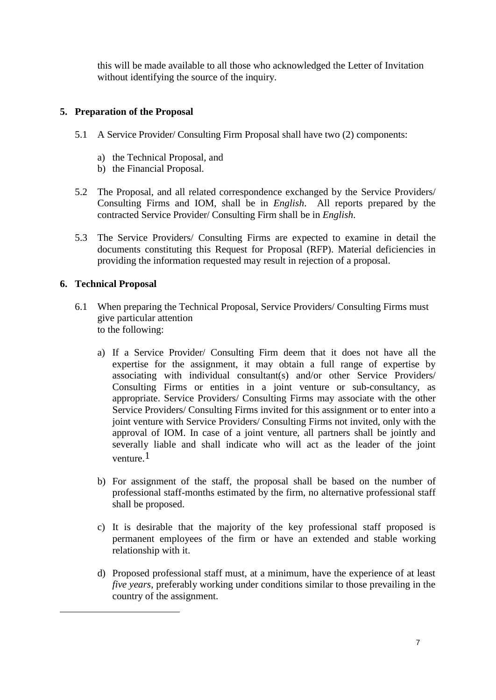this will be made available to all those who acknowledged the Letter of Invitation without identifying the source of the inquiry.

# **5. Preparation of the Proposal**

- 5.1 A Service Provider/ Consulting Firm Proposal shall have two (2) components:
	- a) the Technical Proposal, and
	- b) the Financial Proposal.
- 5.2 The Proposal, and all related correspondence exchanged by the Service Providers/ Consulting Firms and IOM, shall be in *English*. All reports prepared by the contracted Service Provider/ Consulting Firm shall be in *English*.
- 5.3 The Service Providers/ Consulting Firms are expected to examine in detail the documents constituting this Request for Proposal (RFP). Material deficiencies in providing the information requested may result in rejection of a proposal.

# **6. Technical Proposal**

1

- 6.1 When preparing the Technical Proposal, Service Providers/ Consulting Firms must give particular attention to the following:
	- a) If a Service Provider/ Consulting Firm deem that it does not have all the expertise for the assignment, it may obtain a full range of expertise by associating with individual consultant(s) and/or other Service Providers/ Consulting Firms or entities in a joint venture or sub-consultancy, as appropriate. Service Providers/ Consulting Firms may associate with the other Service Providers/ Consulting Firms invited for this assignment or to enter into a joint venture with Service Providers/ Consulting Firms not invited, only with the approval of IOM. In case of a joint venture, all partners shall be jointly and severally liable and shall indicate who will act as the leader of the joint venture.1
	- b) For assignment of the staff, the proposal shall be based on the number of professional staff-months estimated by the firm, no alternative professional staff shall be proposed.
	- c) It is desirable that the majority of the key professional staff proposed is permanent employees of the firm or have an extended and stable working relationship with it.
	- d) Proposed professional staff must, at a minimum, have the experience of at least *five years*, preferably working under conditions similar to those prevailing in the country of the assignment.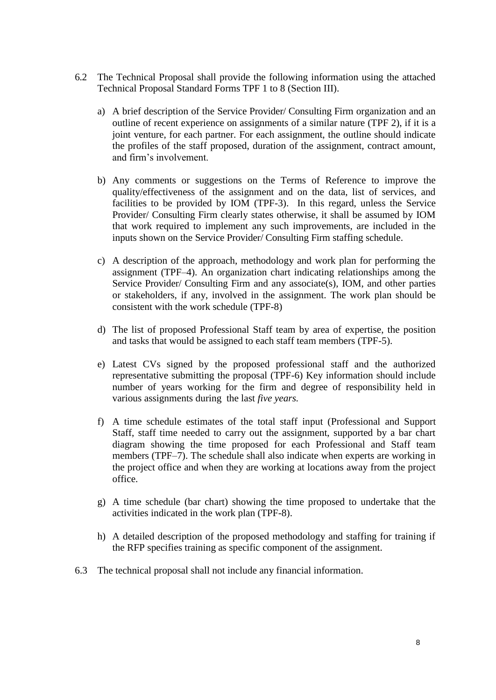- 6.2 The Technical Proposal shall provide the following information using the attached Technical Proposal Standard Forms TPF 1 to 8 (Section III).
	- a) A brief description of the Service Provider/ Consulting Firm organization and an outline of recent experience on assignments of a similar nature (TPF 2), if it is a joint venture, for each partner. For each assignment, the outline should indicate the profiles of the staff proposed, duration of the assignment, contract amount, and firm's involvement.
	- b) Any comments or suggestions on the Terms of Reference to improve the quality/effectiveness of the assignment and on the data, list of services, and facilities to be provided by IOM (TPF-3). In this regard, unless the Service Provider/ Consulting Firm clearly states otherwise, it shall be assumed by IOM that work required to implement any such improvements, are included in the inputs shown on the Service Provider/ Consulting Firm staffing schedule.
	- c) A description of the approach, methodology and work plan for performing the assignment (TPF–4). An organization chart indicating relationships among the Service Provider/ Consulting Firm and any associate(s), IOM, and other parties or stakeholders, if any, involved in the assignment. The work plan should be consistent with the work schedule (TPF-8)
	- d) The list of proposed Professional Staff team by area of expertise, the position and tasks that would be assigned to each staff team members (TPF-5).
	- e) Latest CVs signed by the proposed professional staff and the authorized representative submitting the proposal (TPF-6) Key information should include number of years working for the firm and degree of responsibility held in various assignments during the last *five years.*
	- f) A time schedule estimates of the total staff input (Professional and Support Staff, staff time needed to carry out the assignment, supported by a bar chart diagram showing the time proposed for each Professional and Staff team members (TPF–7). The schedule shall also indicate when experts are working in the project office and when they are working at locations away from the project office.
	- g) A time schedule (bar chart) showing the time proposed to undertake that the activities indicated in the work plan (TPF-8).
	- h) A detailed description of the proposed methodology and staffing for training if the RFP specifies training as specific component of the assignment.
- 6.3 The technical proposal shall not include any financial information.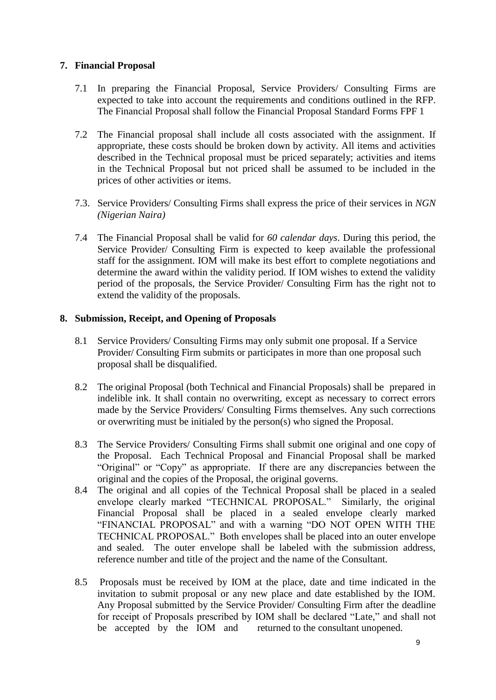# **7. Financial Proposal**

- 7.1 In preparing the Financial Proposal, Service Providers/ Consulting Firms are expected to take into account the requirements and conditions outlined in the RFP. The Financial Proposal shall follow the Financial Proposal Standard Forms FPF 1
- 7.2 The Financial proposal shall include all costs associated with the assignment. If appropriate, these costs should be broken down by activity. All items and activities described in the Technical proposal must be priced separately; activities and items in the Technical Proposal but not priced shall be assumed to be included in the prices of other activities or items.
- 7.3. Service Providers/ Consulting Firms shall express the price of their services in *NGN (Nigerian Naira)*
- 7.4 The Financial Proposal shall be valid for *60 calendar days*. During this period, the Service Provider/ Consulting Firm is expected to keep available the professional staff for the assignment. IOM will make its best effort to complete negotiations and determine the award within the validity period. If IOM wishes to extend the validity period of the proposals, the Service Provider/ Consulting Firm has the right not to extend the validity of the proposals.

# **8. Submission, Receipt, and Opening of Proposals**

- 8.1 Service Providers/ Consulting Firms may only submit one proposal. If a Service Provider/ Consulting Firm submits or participates in more than one proposal such proposal shall be disqualified.
- 8.2 The original Proposal (both Technical and Financial Proposals) shall be prepared in indelible ink. It shall contain no overwriting, except as necessary to correct errors made by the Service Providers/ Consulting Firms themselves. Any such corrections or overwriting must be initialed by the person(s) who signed the Proposal.
- 8.3 The Service Providers/ Consulting Firms shall submit one original and one copy of the Proposal. Each Technical Proposal and Financial Proposal shall be marked "Original" or "Copy" as appropriate. If there are any discrepancies between the original and the copies of the Proposal, the original governs.
- 8.4 The original and all copies of the Technical Proposal shall be placed in a sealed envelope clearly marked "TECHNICAL PROPOSAL." Similarly, the original Financial Proposal shall be placed in a sealed envelope clearly marked "FINANCIAL PROPOSAL" and with a warning "DO NOT OPEN WITH THE TECHNICAL PROPOSAL." Both envelopes shall be placed into an outer envelope and sealed. The outer envelope shall be labeled with the submission address, reference number and title of the project and the name of the Consultant.
- 8.5 Proposals must be received by IOM at the place, date and time indicated in the invitation to submit proposal or any new place and date established by the IOM. Any Proposal submitted by the Service Provider/ Consulting Firm after the deadline for receipt of Proposals prescribed by IOM shall be declared "Late," and shall not be accepted by the IOM and returned to the consultant unopened.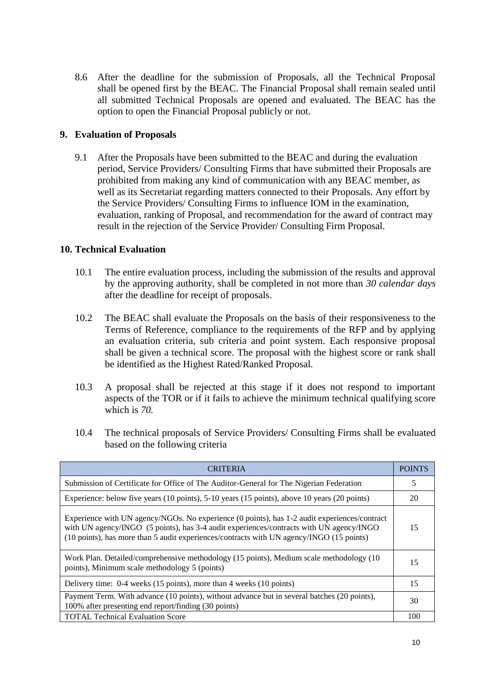8.6 After the deadline for the submission of Proposals, all the Technical Proposal shall be opened first by the BEAC. The Financial Proposal shall remain sealed until all submitted Technical Proposals are opened and evaluated. The BEAC has the option to open the Financial Proposal publicly or not.

## **9. Evaluation of Proposals**

9.1 After the Proposals have been submitted to the BEAC and during the evaluation period, Service Providers/ Consulting Firms that have submitted their Proposals are prohibited from making any kind of communication with any BEAC member, as well as its Secretariat regarding matters connected to their Proposals. Any effort by the Service Providers/ Consulting Firms to influence IOM in the examination, evaluation, ranking of Proposal, and recommendation for the award of contract may result in the rejection of the Service Provider/ Consulting Firm Proposal.

## **10. Technical Evaluation**

- 10.1 The entire evaluation process, including the submission of the results and approval by the approving authority, shall be completed in not more than *30 calendar days* after the deadline for receipt of proposals.
- 10.2 The BEAC shall evaluate the Proposals on the basis of their responsiveness to the Terms of Reference, compliance to the requirements of the RFP and by applying an evaluation criteria, sub criteria and point system. Each responsive proposal shall be given a technical score. The proposal with the highest score or rank shall be identified as the Highest Rated/Ranked Proposal.
- 10.3 A proposal shall be rejected at this stage if it does not respond to important aspects of the TOR or if it fails to achieve the minimum technical qualifying score which is *70.*
- 10.4 The technical proposals of Service Providers/ Consulting Firms shall be evaluated based on the following criteria

| <b>CRITERIA</b>                                                                                                                                                                                                                                                                     | <b>POINTS</b> |  |  |
|-------------------------------------------------------------------------------------------------------------------------------------------------------------------------------------------------------------------------------------------------------------------------------------|---------------|--|--|
| Submission of Certificate for Office of The Auditor-General for The Nigerian Federation                                                                                                                                                                                             |               |  |  |
| Experience: below five years (10 points), 5-10 years (15 points), above 10 years (20 points)                                                                                                                                                                                        | 20            |  |  |
| Experience with UN agency/NGOs. No experience (0 points), has 1-2 audit experiences/contract<br>with UN agency/INGO (5 points), has 3-4 audit experiences/contracts with UN agency/INGO<br>(10 points), has more than 5 audit experiences/contracts with UN agency/INGO (15 points) | 15            |  |  |
| Work Plan. Detailed/comprehensive methodology (15 points), Medium scale methodology (10<br>points), Minimum scale methodology 5 (points)                                                                                                                                            | 15            |  |  |
| Delivery time: 0-4 weeks (15 points), more than 4 weeks (10 points)                                                                                                                                                                                                                 | 15            |  |  |
| Payment Term. With advance (10 points), without advance but in several batches (20 points),<br>100% after presenting end report/finding (30 points)                                                                                                                                 | 30            |  |  |
| <b>TOTAL Technical Evaluation Score</b>                                                                                                                                                                                                                                             | 100           |  |  |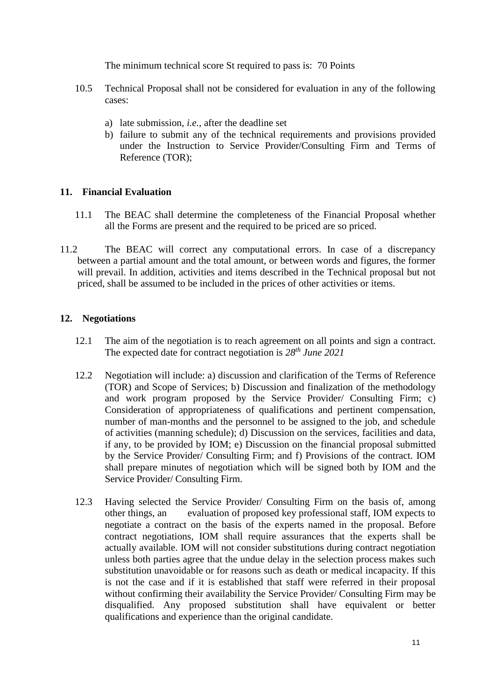The minimum technical score St required to pass is: 70 Points

- 10.5 Technical Proposal shall not be considered for evaluation in any of the following cases:
	- a) late submission, *i.e.*, after the deadline set
	- b) failure to submit any of the technical requirements and provisions provided under the Instruction to Service Provider/Consulting Firm and Terms of Reference (TOR);

# **11. Financial Evaluation**

- 11.1 The BEAC shall determine the completeness of the Financial Proposal whether all the Forms are present and the required to be priced are so priced.
- 11.2 The BEAC will correct any computational errors. In case of a discrepancy between a partial amount and the total amount, or between words and figures, the former will prevail. In addition, activities and items described in the Technical proposal but not priced, shall be assumed to be included in the prices of other activities or items.

# **12. Negotiations**

- 12.1 The aim of the negotiation is to reach agreement on all points and sign a contract. The expected date for contract negotiation is *28th June 2021*
- 12.2 Negotiation will include: a) discussion and clarification of the Terms of Reference (TOR) and Scope of Services; b) Discussion and finalization of the methodology and work program proposed by the Service Provider/ Consulting Firm; c) Consideration of appropriateness of qualifications and pertinent compensation, number of man-months and the personnel to be assigned to the job, and schedule of activities (manning schedule); d) Discussion on the services, facilities and data, if any, to be provided by IOM; e) Discussion on the financial proposal submitted by the Service Provider/ Consulting Firm; and f) Provisions of the contract. IOM shall prepare minutes of negotiation which will be signed both by IOM and the Service Provider/ Consulting Firm.
- 12.3 Having selected the Service Provider/ Consulting Firm on the basis of, among other things, an evaluation of proposed key professional staff, IOM expects to negotiate a contract on the basis of the experts named in the proposal. Before contract negotiations, IOM shall require assurances that the experts shall be actually available. IOM will not consider substitutions during contract negotiation unless both parties agree that the undue delay in the selection process makes such substitution unavoidable or for reasons such as death or medical incapacity. If this is not the case and if it is established that staff were referred in their proposal without confirming their availability the Service Provider/ Consulting Firm may be disqualified. Any proposed substitution shall have equivalent or better qualifications and experience than the original candidate.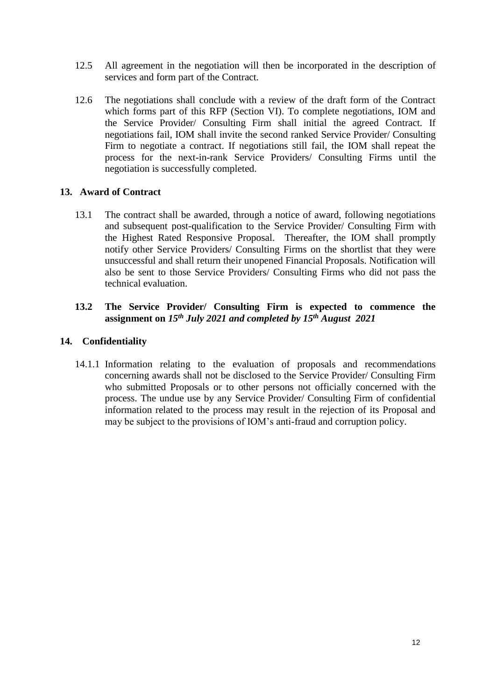- 12.5 All agreement in the negotiation will then be incorporated in the description of services and form part of the Contract.
- 12.6 The negotiations shall conclude with a review of the draft form of the Contract which forms part of this RFP (Section VI). To complete negotiations, IOM and the Service Provider/ Consulting Firm shall initial the agreed Contract. If negotiations fail, IOM shall invite the second ranked Service Provider/ Consulting Firm to negotiate a contract. If negotiations still fail, the IOM shall repeat the process for the next-in-rank Service Providers/ Consulting Firms until the negotiation is successfully completed.

# **13. Award of Contract**

13.1 The contract shall be awarded, through a notice of award, following negotiations and subsequent post-qualification to the Service Provider/ Consulting Firm with the Highest Rated Responsive Proposal. Thereafter, the IOM shall promptly notify other Service Providers/ Consulting Firms on the shortlist that they were unsuccessful and shall return their unopened Financial Proposals. Notification will also be sent to those Service Providers/ Consulting Firms who did not pass the technical evaluation.

## **13.2 The Service Provider/ Consulting Firm is expected to commence the assignment on** *15th July 2021 and completed by 15th August 2021*

## **14. Confidentiality**

14.1.1 Information relating to the evaluation of proposals and recommendations concerning awards shall not be disclosed to the Service Provider/ Consulting Firm who submitted Proposals or to other persons not officially concerned with the process. The undue use by any Service Provider/ Consulting Firm of confidential information related to the process may result in the rejection of its Proposal and may be subject to the provisions of IOM's anti-fraud and corruption policy.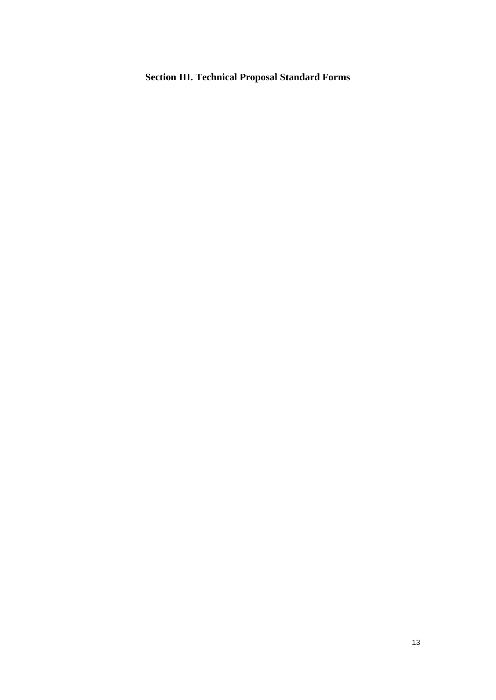# **Section III. Technical Proposal Standard Forms**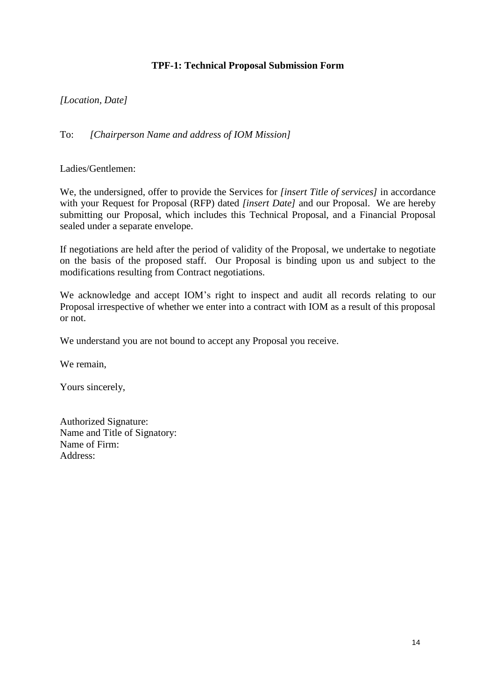# **TPF-1: Technical Proposal Submission Form**

# *[Location, Date]*

To: *[Chairperson Name and address of IOM Mission]*

Ladies/Gentlemen:

We, the undersigned, offer to provide the Services for *[insert Title of services]* in accordance with your Request for Proposal (RFP) dated *[insert Date]* and our Proposal. We are hereby submitting our Proposal, which includes this Technical Proposal, and a Financial Proposal sealed under a separate envelope.

If negotiations are held after the period of validity of the Proposal, we undertake to negotiate on the basis of the proposed staff. Our Proposal is binding upon us and subject to the modifications resulting from Contract negotiations.

We acknowledge and accept IOM's right to inspect and audit all records relating to our Proposal irrespective of whether we enter into a contract with IOM as a result of this proposal or not.

We understand you are not bound to accept any Proposal you receive.

We remain,

Yours sincerely,

Authorized Signature: Name and Title of Signatory: Name of Firm: Address: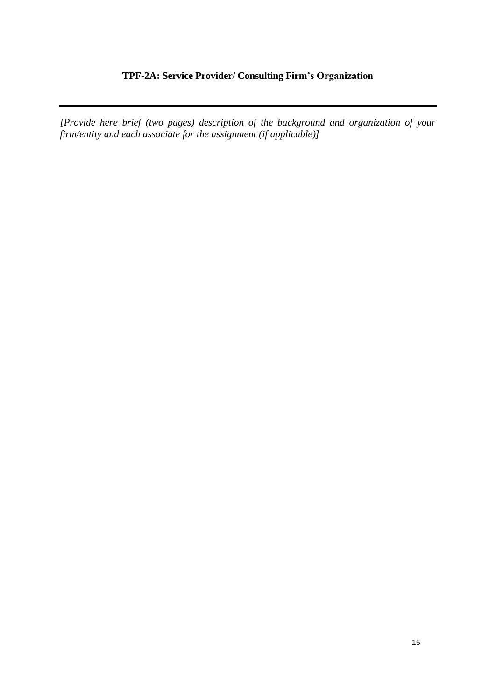# **TPF-2A: Service Provider/ Consulting Firm's Organization**

*[Provide here brief (two pages) description of the background and organization of your firm/entity and each associate for the assignment (if applicable)]*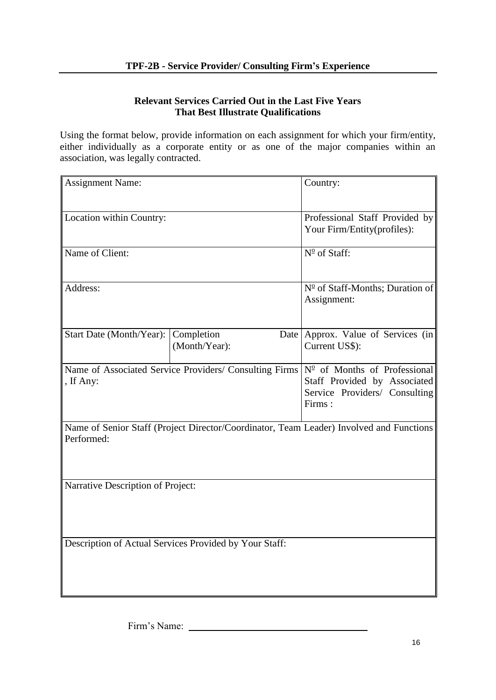# **Relevant Services Carried Out in the Last Five Years That Best Illustrate Qualifications**

Using the format below, provide information on each assignment for which your firm/entity, either individually as a corporate entity or as one of the major companies within an association, was legally contracted.

| <b>Assignment Name:</b>             | Country:                                                      |                                                                                                                                                                         |  |  |  |  |
|-------------------------------------|---------------------------------------------------------------|-------------------------------------------------------------------------------------------------------------------------------------------------------------------------|--|--|--|--|
| Location within Country:            | Professional Staff Provided by<br>Your Firm/Entity(profiles): |                                                                                                                                                                         |  |  |  |  |
| Name of Client:                     |                                                               | N <sup>o</sup> of Staff:                                                                                                                                                |  |  |  |  |
| Address:                            | Nº of Staff-Months; Duration of<br>Assignment:                |                                                                                                                                                                         |  |  |  |  |
| Start Date (Month/Year): Completion | (Month/Year):                                                 | Date Approx. Value of Services (in<br>Current US\$):                                                                                                                    |  |  |  |  |
| , If Any:                           |                                                               | Name of Associated Service Providers/ Consulting Firms $N^{\circ}$ of Months of Professional<br>Staff Provided by Associated<br>Service Providers/ Consulting<br>Firms: |  |  |  |  |
| Performed:                          |                                                               | Name of Senior Staff (Project Director/Coordinator, Team Leader) Involved and Functions                                                                                 |  |  |  |  |
| Narrative Description of Project:   |                                                               |                                                                                                                                                                         |  |  |  |  |
|                                     | Description of Actual Services Provided by Your Staff:        |                                                                                                                                                                         |  |  |  |  |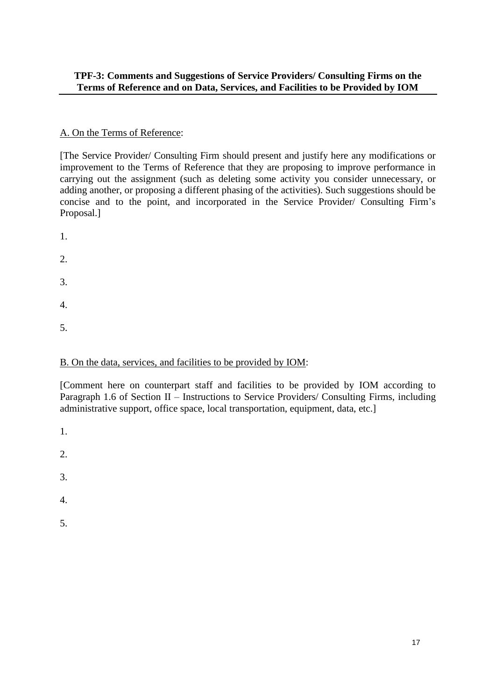# **TPF-3: Comments and Suggestions of Service Providers/ Consulting Firms on the Terms of Reference and on Data, Services, and Facilities to be Provided by IOM**

# A. On the Terms of Reference:

[The Service Provider/ Consulting Firm should present and justify here any modifications or improvement to the Terms of Reference that they are proposing to improve performance in carrying out the assignment (such as deleting some activity you consider unnecessary, or adding another, or proposing a different phasing of the activities). Such suggestions should be concise and to the point, and incorporated in the Service Provider/ Consulting Firm's Proposal.]

- 1.
- 2.
- 
- 3.
- 4.
- 5.

# B. On the data, services, and facilities to be provided by IOM:

[Comment here on counterpart staff and facilities to be provided by IOM according to Paragraph 1.6 of Section II – Instructions to Service Providers/ Consulting Firms, including administrative support, office space, local transportation, equipment, data, etc.]

- 1.
- 2.
- 
- 3.
- 4.
- 5.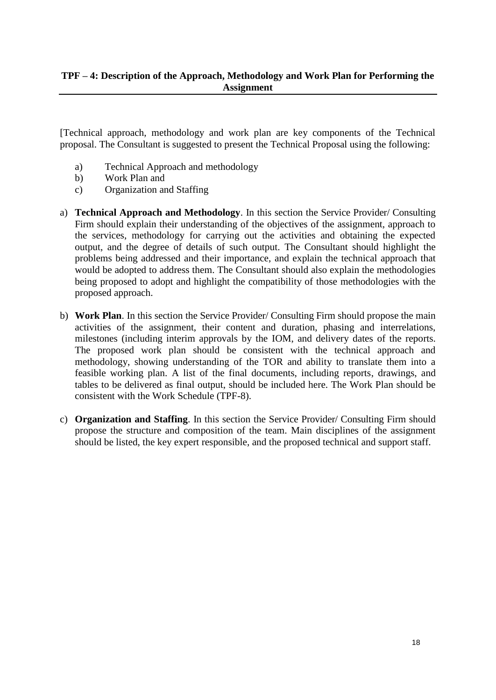[Technical approach, methodology and work plan are key components of the Technical proposal. The Consultant is suggested to present the Technical Proposal using the following:

- a) Technical Approach and methodology
- b) Work Plan and
- c) Organization and Staffing
- a) **Technical Approach and Methodology**. In this section the Service Provider/ Consulting Firm should explain their understanding of the objectives of the assignment, approach to the services, methodology for carrying out the activities and obtaining the expected output, and the degree of details of such output. The Consultant should highlight the problems being addressed and their importance, and explain the technical approach that would be adopted to address them. The Consultant should also explain the methodologies being proposed to adopt and highlight the compatibility of those methodologies with the proposed approach.
- b) **Work Plan**. In this section the Service Provider/ Consulting Firm should propose the main activities of the assignment, their content and duration, phasing and interrelations, milestones (including interim approvals by the IOM, and delivery dates of the reports. The proposed work plan should be consistent with the technical approach and methodology, showing understanding of the TOR and ability to translate them into a feasible working plan. A list of the final documents, including reports, drawings, and tables to be delivered as final output, should be included here. The Work Plan should be consistent with the Work Schedule (TPF-8).
- c) **Organization and Staffing**. In this section the Service Provider/ Consulting Firm should propose the structure and composition of the team. Main disciplines of the assignment should be listed, the key expert responsible, and the proposed technical and support staff.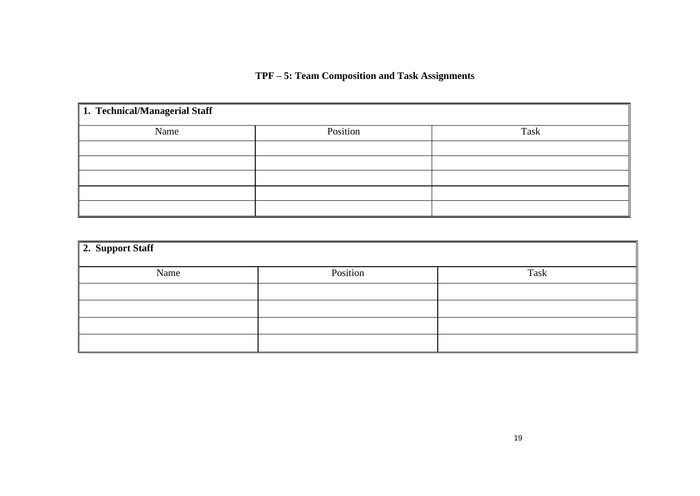# **TPF – 5: Team Composition and Task Assignments**

| 1. Technical/Managerial Staff |          |      |
|-------------------------------|----------|------|
| Name                          | Position | Task |
|                               |          |      |
|                               |          |      |
|                               |          |      |
|                               |          |      |
|                               |          |      |

| 2. Support Staff |          |      |
|------------------|----------|------|
| Name             | Position | Task |
|                  |          |      |
|                  |          |      |
|                  |          |      |
|                  |          |      |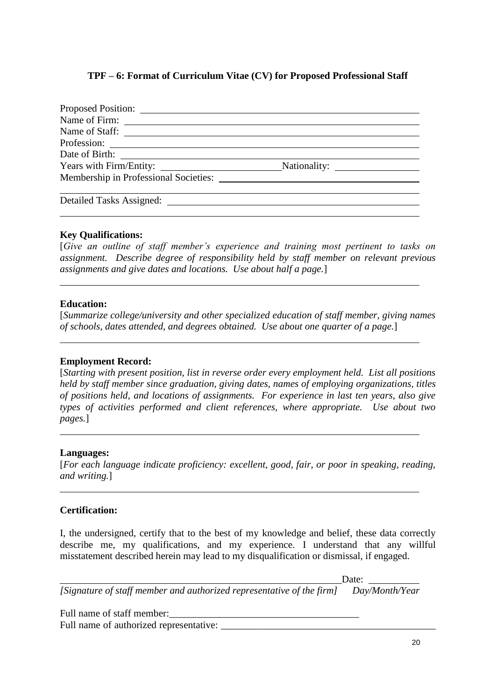# **TPF – 6: Format of Curriculum Vitae (CV) for Proposed Professional Staff**

| Proposed Position:                    |  |
|---------------------------------------|--|
|                                       |  |
|                                       |  |
|                                       |  |
|                                       |  |
|                                       |  |
| Membership in Professional Societies: |  |
|                                       |  |
| Detailed Tasks Assigned:              |  |
|                                       |  |

## **Key Qualifications:**

[*Give an outline of staff member's experience and training most pertinent to tasks on assignment. Describe degree of responsibility held by staff member on relevant previous assignments and give dates and locations. Use about half a page.*]

### **Education:**

[*Summarize college/university and other specialized education of staff member, giving names of schools, dates attended, and degrees obtained. Use about one quarter of a page.*]

## **Employment Record:**

[*Starting with present position, list in reverse order every employment held. List all positions held by staff member since graduation, giving dates, names of employing organizations, titles of positions held, and locations of assignments. For experience in last ten years, also give types of activities performed and client references, where appropriate. Use about two pages.*]

### **Languages:**

[*For each language indicate proficiency: excellent, good, fair, or poor in speaking, reading, and writing.*]

# **Certification:**

I, the undersigned, certify that to the best of my knowledge and belief, these data correctly describe me, my qualifications, and my experience. I understand that any willful misstatement described herein may lead to my disqualification or dismissal, if engaged.

Date: *[Signature of staff member and authorized representative of the firm] Day/Month/Year*

Full name of staff member:

Full name of authorized representative: \_\_\_\_\_\_\_\_\_\_\_\_\_\_\_\_\_\_\_\_\_\_\_\_\_\_\_\_\_\_\_\_\_\_\_\_\_\_\_\_\_\_\_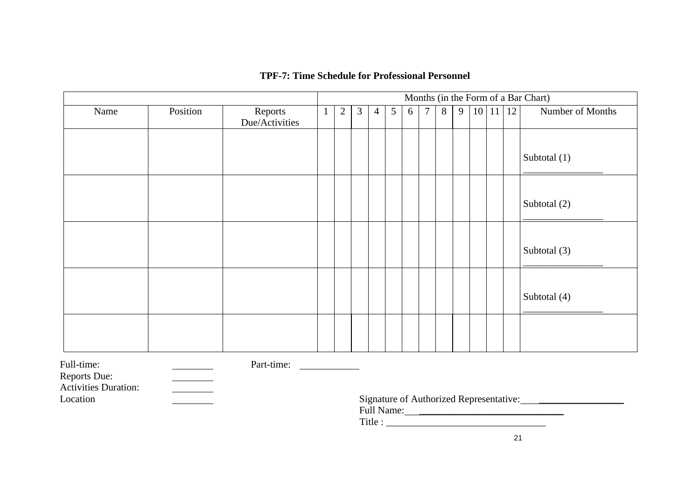# **TPF-7: Time Schedule for Professional Personnel**

|                                         |          |                           |   |                |                |                |   |                                         |                |   |   |                      | Months (in the Form of a Bar Chart) |
|-----------------------------------------|----------|---------------------------|---|----------------|----------------|----------------|---|-----------------------------------------|----------------|---|---|----------------------|-------------------------------------|
| Name                                    | Position | Reports<br>Due/Activities | 1 | $\overline{2}$ | $\mathfrak{Z}$ | $\overline{4}$ | 5 | 6                                       | $\overline{7}$ | 8 | 9 | $10 \mid 11 \mid 12$ | Number of Months                    |
|                                         |          |                           |   |                |                |                |   |                                         |                |   |   |                      |                                     |
|                                         |          |                           |   |                |                |                |   |                                         |                |   |   |                      | Subtotal (1)                        |
|                                         |          |                           |   |                |                |                |   |                                         |                |   |   |                      |                                     |
|                                         |          |                           |   |                |                |                |   |                                         |                |   |   |                      | Subtotal (2)                        |
|                                         |          |                           |   |                |                |                |   |                                         |                |   |   |                      |                                     |
|                                         |          |                           |   |                |                |                |   |                                         |                |   |   |                      | Subtotal (3)                        |
|                                         |          |                           |   |                |                |                |   |                                         |                |   |   |                      |                                     |
|                                         |          |                           |   |                |                |                |   |                                         |                |   |   |                      | Subtotal (4)                        |
|                                         |          |                           |   |                |                |                |   |                                         |                |   |   |                      |                                     |
| Full-time:                              |          | Part-time:                |   |                |                |                |   |                                         |                |   |   |                      |                                     |
| Reports Due:                            |          |                           |   |                |                |                |   |                                         |                |   |   |                      |                                     |
| <b>Activities Duration:</b><br>Location |          |                           |   |                |                |                |   | Signature of Authorized Representative: |                |   |   |                      |                                     |

Full Name: \_\_\_\_\_\_\_\_\_\_\_\_\_\_\_\_\_\_\_\_\_\_\_\_\_\_\_\_\_

Title : \_\_\_\_\_\_\_\_\_\_\_\_\_\_\_\_\_\_\_\_\_\_\_\_\_\_\_\_\_\_\_\_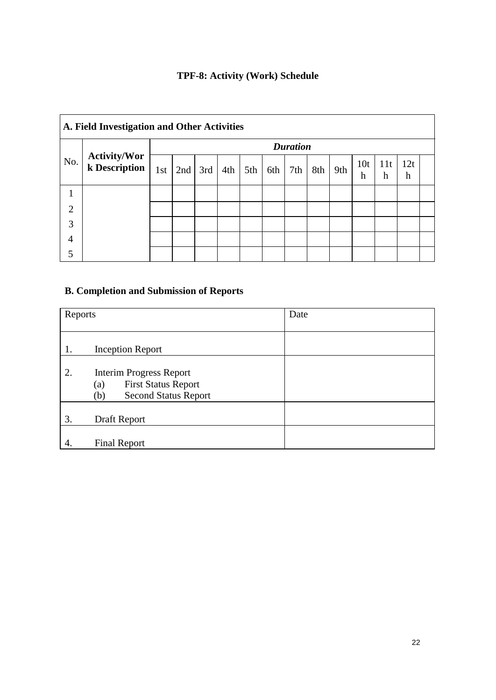# **TPF-8: Activity (Work) Schedule**

|                | A. Field Investigation and Other Activities |     |     |     |     |     |     |     |     |     |                      |          |          |  |
|----------------|---------------------------------------------|-----|-----|-----|-----|-----|-----|-----|-----|-----|----------------------|----------|----------|--|
|                | <b>Duration</b>                             |     |     |     |     |     |     |     |     |     |                      |          |          |  |
| No.            | <b>Activity/Wor</b><br>k Description        | 1st | 2nd | 3rd | 4th | 5th | 6th | 7th | 8th | 9th | 10 <sub>t</sub><br>h | 11t<br>h | 12t<br>h |  |
|                |                                             |     |     |     |     |     |     |     |     |     |                      |          |          |  |
| $\overline{2}$ |                                             |     |     |     |     |     |     |     |     |     |                      |          |          |  |
| 3              |                                             |     |     |     |     |     |     |     |     |     |                      |          |          |  |
| $\overline{4}$ |                                             |     |     |     |     |     |     |     |     |     |                      |          |          |  |
| 5              |                                             |     |     |     |     |     |     |     |     |     |                      |          |          |  |

# **B. Completion and Submission of Reports**

| Reports |                                                                                                           | Date |
|---------|-----------------------------------------------------------------------------------------------------------|------|
|         |                                                                                                           |      |
| 1.      | <b>Inception Report</b>                                                                                   |      |
| 2.      | <b>Interim Progress Report</b><br><b>First Status Report</b><br>(a)<br><b>Second Status Report</b><br>(b) |      |
| 3.      | Draft Report                                                                                              |      |
| 4.      | <b>Final Report</b>                                                                                       |      |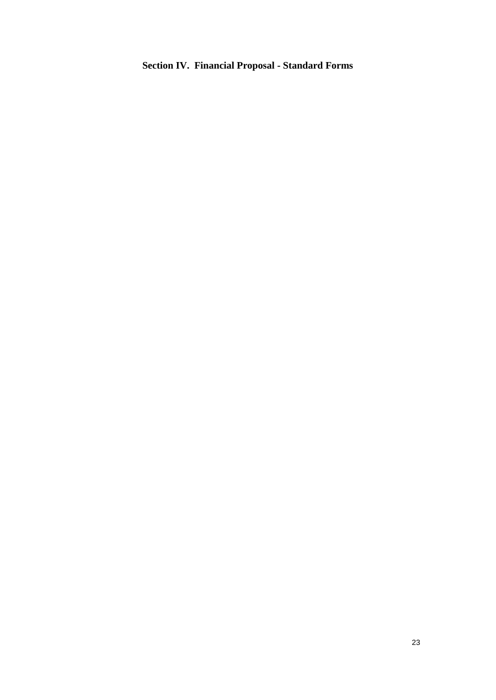# **Section IV. Financial Proposal - Standard Forms**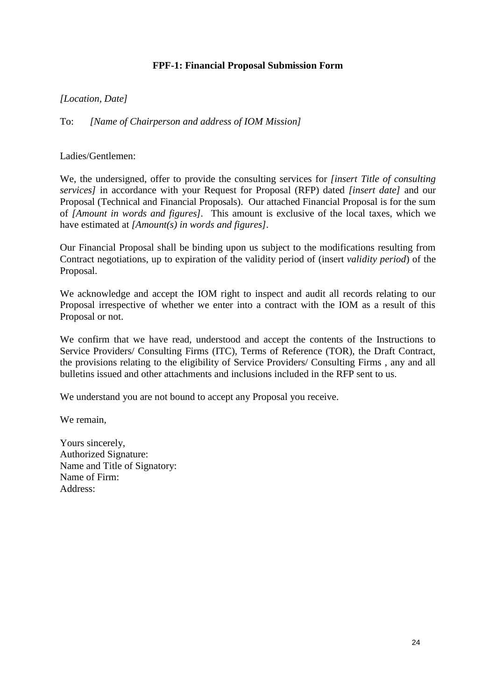# **FPF-1: Financial Proposal Submission Form**

*[Location, Date]*

To: *[Name of Chairperson and address of IOM Mission]*

Ladies/Gentlemen:

We, the undersigned, offer to provide the consulting services for *[insert Title of consulting services]* in accordance with your Request for Proposal (RFP) dated *[insert date]* and our Proposal (Technical and Financial Proposals). Our attached Financial Proposal is for the sum of *[Amount in words and figures].* This amount is exclusive of the local taxes, which we have estimated at *[Amount(s) in words and figures].*

Our Financial Proposal shall be binding upon us subject to the modifications resulting from Contract negotiations, up to expiration of the validity period of (insert *validity period*) of the Proposal.

We acknowledge and accept the IOM right to inspect and audit all records relating to our Proposal irrespective of whether we enter into a contract with the IOM as a result of this Proposal or not.

We confirm that we have read, understood and accept the contents of the Instructions to Service Providers/ Consulting Firms (ITC), Terms of Reference (TOR), the Draft Contract, the provisions relating to the eligibility of Service Providers/ Consulting Firms , any and all bulletins issued and other attachments and inclusions included in the RFP sent to us.

We understand you are not bound to accept any Proposal you receive.

We remain,

Yours sincerely, Authorized Signature: Name and Title of Signatory: Name of Firm: Address: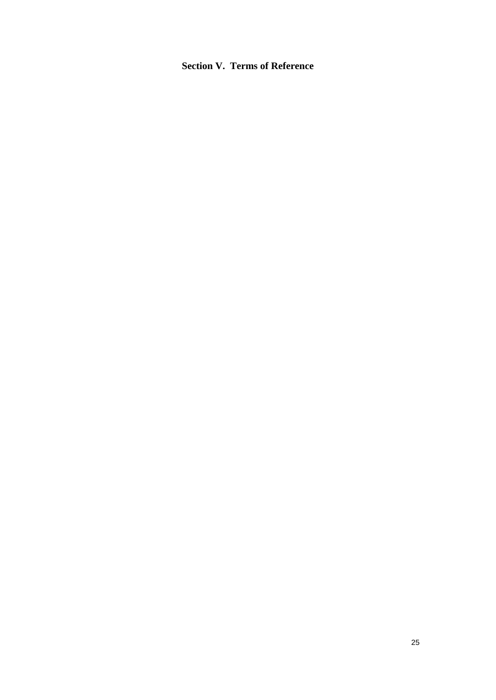# **Section V. Terms of Reference**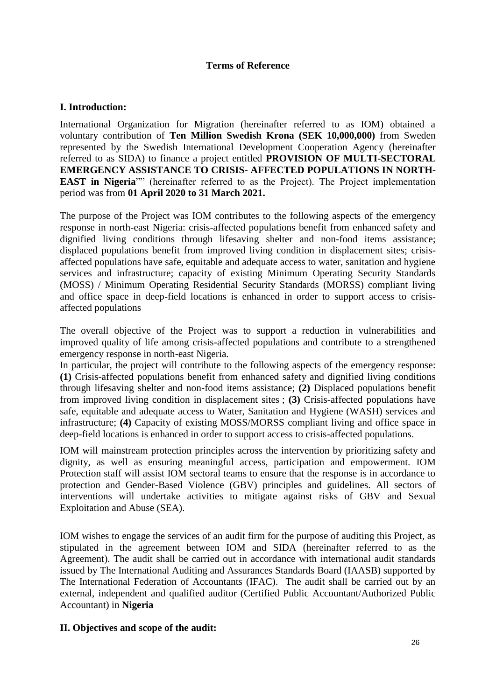# **Terms of Reference**

# **I. Introduction:**

International Organization for Migration (hereinafter referred to as IOM) obtained a voluntary contribution of **Ten Million Swedish Krona (SEK 10,000,000)** from Sweden represented by the Swedish International Development Cooperation Agency (hereinafter referred to as SIDA) to finance a project entitled **PROVISION OF MULTI-SECTORAL EMERGENCY ASSISTANCE TO CRISIS- AFFECTED POPULATIONS IN NORTH-EAST in Nigeria**"" (hereinafter referred to as the Project). The Project implementation period was from **01 April 2020 to 31 March 2021.**

The purpose of the Project was IOM contributes to the following aspects of the emergency response in north-east Nigeria: crisis-affected populations benefit from enhanced safety and dignified living conditions through lifesaving shelter and non-food items assistance; displaced populations benefit from improved living condition in displacement sites; crisisaffected populations have safe, equitable and adequate access to water, sanitation and hygiene services and infrastructure; capacity of existing Minimum Operating Security Standards (MOSS) / Minimum Operating Residential Security Standards (MORSS) compliant living and office space in deep-field locations is enhanced in order to support access to crisisaffected populations

The overall objective of the Project was to support a reduction in vulnerabilities and improved quality of life among crisis-affected populations and contribute to a strengthened emergency response in north-east Nigeria.

In particular, the project will contribute to the following aspects of the emergency response: **(1)** Crisis-affected populations benefit from enhanced safety and dignified living conditions through lifesaving shelter and non-food items assistance; **(2)** Displaced populations benefit from improved living condition in displacement sites ; **(3)** Crisis-affected populations have safe, equitable and adequate access to Water, Sanitation and Hygiene (WASH) services and infrastructure; **(4)** Capacity of existing MOSS/MORSS compliant living and office space in deep-field locations is enhanced in order to support access to crisis-affected populations.

IOM will mainstream protection principles across the intervention by prioritizing safety and dignity, as well as ensuring meaningful access, participation and empowerment. IOM Protection staff will assist IOM sectoral teams to ensure that the response is in accordance to protection and Gender-Based Violence (GBV) principles and guidelines. All sectors of interventions will undertake activities to mitigate against risks of GBV and Sexual Exploitation and Abuse (SEA).

IOM wishes to engage the services of an audit firm for the purpose of auditing this Project, as stipulated in the agreement between IOM and SIDA (hereinafter referred to as the Agreement). The audit shall be carried out in accordance with international audit standards issued by The International Auditing and Assurances Standards Board (IAASB) supported by The International Federation of Accountants (IFAC). The audit shall be carried out by an external, independent and qualified auditor (Certified Public Accountant/Authorized Public Accountant) in **Nigeria**

## **II. Objectives and scope of the audit:**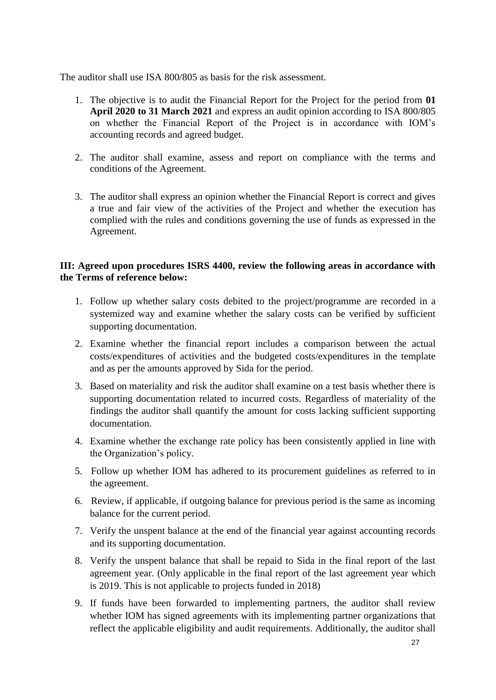The auditor shall use ISA 800/805 as basis for the risk assessment.

- 1. The objective is to audit the Financial Report for the Project for the period from **01 April 2020 to 31 March 2021** and express an audit opinion according to ISA 800/805 on whether the Financial Report of the Project is in accordance with IOM's accounting records and agreed budget.
- 2. The auditor shall examine, assess and report on compliance with the terms and conditions of the Agreement.
- 3. The auditor shall express an opinion whether the Financial Report is correct and gives a true and fair view of the activities of the Project and whether the execution has complied with the rules and conditions governing the use of funds as expressed in the Agreement.

# **III: Agreed upon procedures ISRS 4400, review the following areas in accordance with the Terms of reference below:**

- 1. Follow up whether salary costs debited to the project/programme are recorded in a systemized way and examine whether the salary costs can be verified by sufficient supporting documentation.
- 2. Examine whether the financial report includes a comparison between the actual costs/expenditures of activities and the budgeted costs/expenditures in the template and as per the amounts approved by Sida for the period.
- 3. Based on materiality and risk the auditor shall examine on a test basis whether there is supporting documentation related to incurred costs. Regardless of materiality of the findings the auditor shall quantify the amount for costs lacking sufficient supporting documentation.
- 4. Examine whether the exchange rate policy has been consistently applied in line with the Organization's policy.
- 5. Follow up whether IOM has adhered to its procurement guidelines as referred to in the agreement.
- 6. Review, if applicable, if outgoing balance for previous period is the same as incoming balance for the current period.
- 7. Verify the unspent balance at the end of the financial year against accounting records and its supporting documentation.
- 8. Verify the unspent balance that shall be repaid to Sida in the final report of the last agreement year. (Only applicable in the final report of the last agreement year which is 2019. This is not applicable to projects funded in 2018)
- 9. If funds have been forwarded to implementing partners, the auditor shall review whether IOM has signed agreements with its implementing partner organizations that reflect the applicable eligibility and audit requirements. Additionally, the auditor shall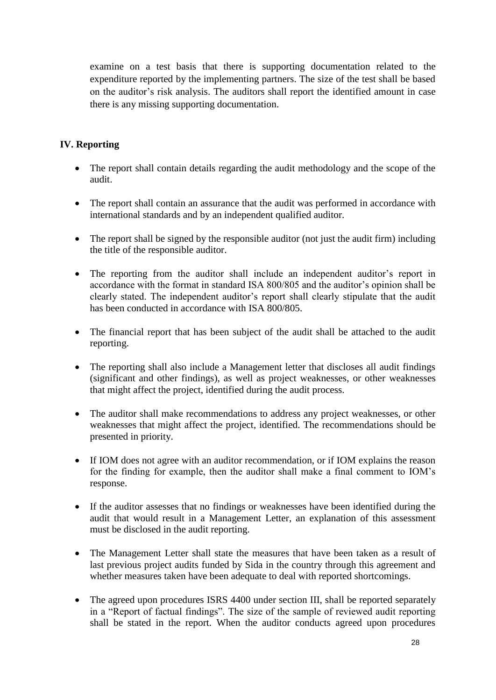examine on a test basis that there is supporting documentation related to the expenditure reported by the implementing partners. The size of the test shall be based on the auditor's risk analysis. The auditors shall report the identified amount in case there is any missing supporting documentation.

# **IV. Reporting**

- The report shall contain details regarding the audit methodology and the scope of the audit.
- The report shall contain an assurance that the audit was performed in accordance with international standards and by an independent qualified auditor.
- The report shall be signed by the responsible auditor (not just the audit firm) including the title of the responsible auditor.
- The reporting from the auditor shall include an independent auditor's report in accordance with the format in standard ISA 800/805 and the auditor's opinion shall be clearly stated. The independent auditor's report shall clearly stipulate that the audit has been conducted in accordance with ISA 800/805.
- The financial report that has been subject of the audit shall be attached to the audit reporting.
- The reporting shall also include a Management letter that discloses all audit findings (significant and other findings), as well as project weaknesses, or other weaknesses that might affect the project, identified during the audit process.
- The auditor shall make recommendations to address any project weaknesses, or other weaknesses that might affect the project, identified. The recommendations should be presented in priority.
- If IOM does not agree with an auditor recommendation, or if IOM explains the reason for the finding for example, then the auditor shall make a final comment to IOM's response.
- If the auditor assesses that no findings or weaknesses have been identified during the audit that would result in a Management Letter, an explanation of this assessment must be disclosed in the audit reporting.
- The Management Letter shall state the measures that have been taken as a result of last previous project audits funded by Sida in the country through this agreement and whether measures taken have been adequate to deal with reported shortcomings.
- The agreed upon procedures ISRS 4400 under section III, shall be reported separately in a "Report of factual findings". The size of the sample of reviewed audit reporting shall be stated in the report. When the auditor conducts agreed upon procedures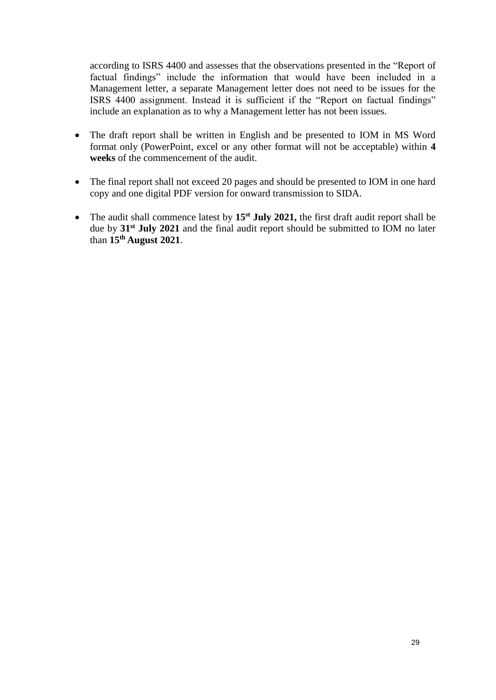according to ISRS 4400 and assesses that the observations presented in the "Report of factual findings" include the information that would have been included in a Management letter, a separate Management letter does not need to be issues for the ISRS 4400 assignment. Instead it is sufficient if the "Report on factual findings" include an explanation as to why a Management letter has not been issues.

- The draft report shall be written in English and be presented to IOM in MS Word format only (PowerPoint, excel or any other format will not be acceptable) within **4 weeks** of the commencement of the audit.
- The final report shall not exceed 20 pages and should be presented to IOM in one hard copy and one digital PDF version for onward transmission to SIDA.
- The audit shall commence latest by **15st July 2021,** the first draft audit report shall be due by **31st July 2021** and the final audit report should be submitted to IOM no later than **15th August 2021**.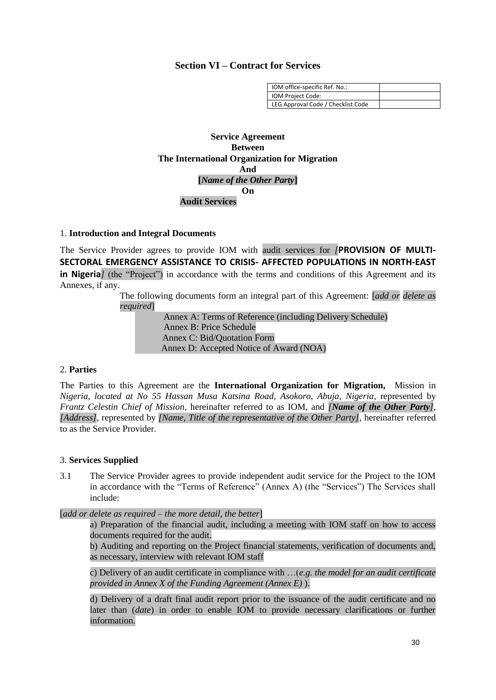### **Section VI – Contract for Services**

| IOM office-specific Ref. No.:      |  |
|------------------------------------|--|
| IOM Project Code:                  |  |
| LEG Approval Code / Checklist Code |  |

**Service Agreement Between The International Organization for Migration And [***Name of the Other Party***] On Audit Services**

#### 1. **Introduction and Integral Documents**

The Service Provider agrees to provide IOM with audit services for *[***PROVISION OF MULTI-SECTORAL EMERGENCY ASSISTANCE TO CRISIS- AFFECTED POPULATIONS IN NORTH-EAST in Nigeria***]* (the "Project") in accordance with the terms and conditions of this Agreement and its Annexes, if any.

The following documents form an integral part of this Agreement: [*add or delete as required*]

> Annex A: Terms of Reference (including Delivery Schedule) Annex B: Price Schedule Annex C: Bid/Quotation Form Annex D: Accepted Notice of Award (NOA)

### 2. **Parties**

The Parties to this Agreement are the **International Organization for Migration,** Mission in *Nigeria, located at No 55 Hassan Musa Katsina Road, Asokoro, Abuja, Nigeria,* represented by *Frantz Celestin Chief of Mission,* hereinafter referred to as IOM, and *[Name of the Other Party], [Address],* represented by *[Name, Title of the representative of the Other Party],* hereinafter referred to as the Service Provider.

### 3. **Services Supplied**

3.1 The Service Provider agrees to provide independent audit service for the Project to the IOM in accordance with the "Terms of Reference" (Annex A) (the "Services") The Services shall include:

[*add or delete as required – the more detail, the better*]

a) Preparation of the financial audit, including a meeting with IOM staff on how to access documents required for the audit.

b) Auditing and reporting on the Project financial statements, verification of documents and, as necessary, interview with relevant IOM staff

c) Delivery of an audit certificate in compliance with …(*e.g. the model for an audit certificate provided in Annex X of the Funding Agreement (Annex E)* ).

d) Delivery of a draft final audit report prior to the issuance of the audit certificate and no later than (*date*) in order to enable IOM to provide necessary clarifications or further information.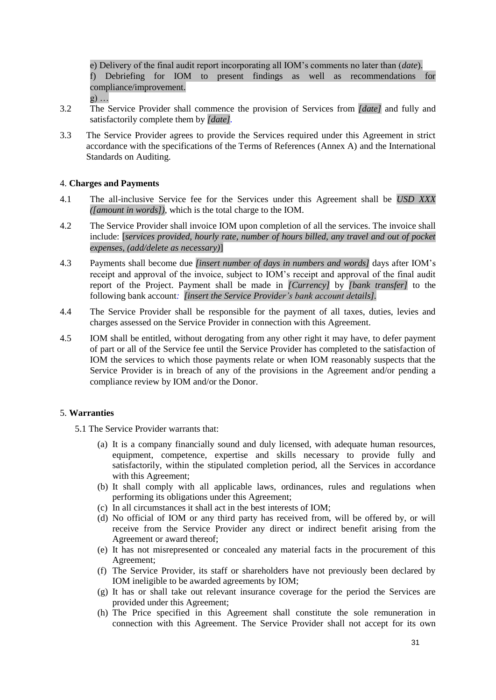e) Delivery of the final audit report incorporating all IOM's comments no later than (*date*). f) Debriefing for IOM to present findings as well as recommendations for compliance/improvement.

- $g)$  ...
- 3.2 The Service Provider shall commence the provision of Services from *[date]* and fully and satisfactorily complete them by *[date].*
- 3.3 The Service Provider agrees to provide the Services required under this Agreement in strict accordance with the specifications of the Terms of References (Annex A) and the International Standards on Auditing.

### 4. **Charges and Payments**

- 4.1 The all-inclusive Service fee for the Services under this Agreement shall be *USD XXX ([amount in words]),* which is the total charge to the IOM.
- 4.2 The Service Provider shall invoice IOM upon completion of all the services. The invoice shall include: [*services provided, hourly rate, number of hours billed, any travel and out of pocket expenses, (add/delete as necessary)*]
- 4.3 Payments shall become due *[insert number of days in numbers and words]* days after IOM's receipt and approval of the invoice, subject to IOM's receipt and approval of the final audit report of the Project. Payment shall be made in *[Currency]* by *[bank transfer]* to the following bank account*: [insert the Service Provider's bank account details].*
- 4.4 The Service Provider shall be responsible for the payment of all taxes, duties, levies and charges assessed on the Service Provider in connection with this Agreement.
- 4.5 IOM shall be entitled, without derogating from any other right it may have, to defer payment of part or all of the Service fee until the Service Provider has completed to the satisfaction of IOM the services to which those payments relate or when IOM reasonably suspects that the Service Provider is in breach of any of the provisions in the Agreement and/or pending a compliance review by IOM and/or the Donor.

### 5. **Warranties**

- 5.1 The Service Provider warrants that:
	- (a) It is a company financially sound and duly licensed, with adequate human resources, equipment, competence, expertise and skills necessary to provide fully and satisfactorily, within the stipulated completion period, all the Services in accordance with this Agreement;
	- (b) It shall comply with all applicable laws, ordinances, rules and regulations when performing its obligations under this Agreement;
	- (c) In all circumstances it shall act in the best interests of IOM;
	- (d) No official of IOM or any third party has received from, will be offered by, or will receive from the Service Provider any direct or indirect benefit arising from the Agreement or award thereof;
	- (e) It has not misrepresented or concealed any material facts in the procurement of this Agreement;
	- (f) The Service Provider, its staff or shareholders have not previously been declared by IOM ineligible to be awarded agreements by IOM;
	- (g) It has or shall take out relevant insurance coverage for the period the Services are provided under this Agreement;
	- (h) The Price specified in this Agreement shall constitute the sole remuneration in connection with this Agreement. The Service Provider shall not accept for its own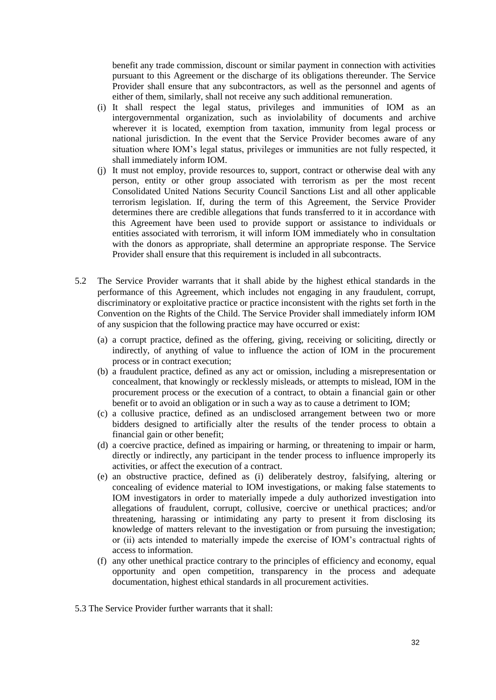benefit any trade commission, discount or similar payment in connection with activities pursuant to this Agreement or the discharge of its obligations thereunder. The Service Provider shall ensure that any subcontractors, as well as the personnel and agents of either of them, similarly, shall not receive any such additional remuneration.

- (i) It shall respect the legal status, privileges and immunities of IOM as an intergovernmental organization, such as inviolability of documents and archive wherever it is located, exemption from taxation, immunity from legal process or national jurisdiction. In the event that the Service Provider becomes aware of any situation where IOM's legal status, privileges or immunities are not fully respected, it shall immediately inform IOM.
- (j) It must not employ, provide resources to, support, contract or otherwise deal with any person, entity or other group associated with terrorism as per the most recent Consolidated United Nations Security Council Sanctions List and all other applicable terrorism legislation. If, during the term of this Agreement, the Service Provider determines there are credible allegations that funds transferred to it in accordance with this Agreement have been used to provide support or assistance to individuals or entities associated with terrorism, it will inform IOM immediately who in consultation with the donors as appropriate, shall determine an appropriate response. The Service Provider shall ensure that this requirement is included in all subcontracts.
- 5.2 The Service Provider warrants that it shall abide by the highest ethical standards in the performance of this Agreement, which includes not engaging in any fraudulent, corrupt, discriminatory or exploitative practice or practice inconsistent with the rights set forth in the Convention on the Rights of the Child. The Service Provider shall immediately inform IOM of any suspicion that the following practice may have occurred or exist:
	- (a) a corrupt practice, defined as the offering, giving, receiving or soliciting, directly or indirectly, of anything of value to influence the action of IOM in the procurement process or in contract execution;
	- (b) a fraudulent practice, defined as any act or omission, including a misrepresentation or concealment, that knowingly or recklessly misleads, or attempts to mislead, IOM in the procurement process or the execution of a contract, to obtain a financial gain or other benefit or to avoid an obligation or in such a way as to cause a detriment to IOM;
	- (c) a collusive practice, defined as an undisclosed arrangement between two or more bidders designed to artificially alter the results of the tender process to obtain a financial gain or other benefit;
	- (d) a coercive practice, defined as impairing or harming, or threatening to impair or harm, directly or indirectly, any participant in the tender process to influence improperly its activities, or affect the execution of a contract.
	- (e) an obstructive practice, defined as (i) deliberately destroy, falsifying, altering or concealing of evidence material to IOM investigations, or making false statements to IOM investigators in order to materially impede a duly authorized investigation into allegations of fraudulent, corrupt, collusive, coercive or unethical practices; and/or threatening, harassing or intimidating any party to present it from disclosing its knowledge of matters relevant to the investigation or from pursuing the investigation; or (ii) acts intended to materially impede the exercise of IOM's contractual rights of access to information.
	- (f) any other unethical practice contrary to the principles of efficiency and economy, equal opportunity and open competition, transparency in the process and adequate documentation, highest ethical standards in all procurement activities.
- 5.3 The Service Provider further warrants that it shall: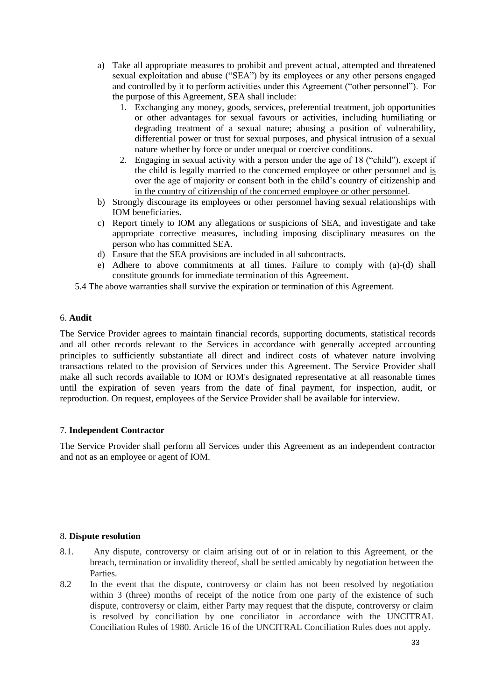- a) Take all appropriate measures to prohibit and prevent actual, attempted and threatened sexual exploitation and abuse ("SEA") by its employees or any other persons engaged and controlled by it to perform activities under this Agreement ("other personnel"). For the purpose of this Agreement, SEA shall include:
	- 1. Exchanging any money, goods, services, preferential treatment, job opportunities or other advantages for sexual favours or activities, including humiliating or degrading treatment of a sexual nature; abusing a position of vulnerability, differential power or trust for sexual purposes, and physical intrusion of a sexual nature whether by force or under unequal or coercive conditions.
	- 2. Engaging in sexual activity with a person under the age of 18 ("child"), except if the child is legally married to the concerned employee or other personnel and is over the age of majority or consent both in the child's country of citizenship and in the country of citizenship of the concerned employee or other personnel.
- b) Strongly discourage its employees or other personnel having sexual relationships with IOM beneficiaries.
- c) Report timely to IOM any allegations or suspicions of SEA, and investigate and take appropriate corrective measures, including imposing disciplinary measures on the person who has committed SEA.
- d) Ensure that the SEA provisions are included in all subcontracts.
- e) Adhere to above commitments at all times. Failure to comply with (a)-(d) shall constitute grounds for immediate termination of this Agreement.
- 5.4 The above warranties shall survive the expiration or termination of this Agreement.

### 6. **Audit**

The Service Provider agrees to maintain financial records, supporting documents, statistical records and all other records relevant to the Services in accordance with generally accepted accounting principles to sufficiently substantiate all direct and indirect costs of whatever nature involving transactions related to the provision of Services under this Agreement. The Service Provider shall make all such records available to IOM or IOM's designated representative at all reasonable times until the expiration of seven years from the date of final payment, for inspection, audit, or reproduction. On request, employees of the Service Provider shall be available for interview.

## 7. **Independent Contractor**

The Service Provider shall perform all Services under this Agreement as an independent contractor and not as an employee or agent of IOM.

### 8. **Dispute resolution**

- 8.1. Any dispute, controversy or claim arising out of or in relation to this Agreement, or the breach, termination or invalidity thereof, shall be settled amicably by negotiation between the Parties.
- 8.2 In the event that the dispute, controversy or claim has not been resolved by negotiation within 3 (three) months of receipt of the notice from one party of the existence of such dispute, controversy or claim, either Party may request that the dispute, controversy or claim is resolved by conciliation by one conciliator in accordance with the UNCITRAL Conciliation Rules of 1980. Article 16 of the UNCITRAL Conciliation Rules does not apply.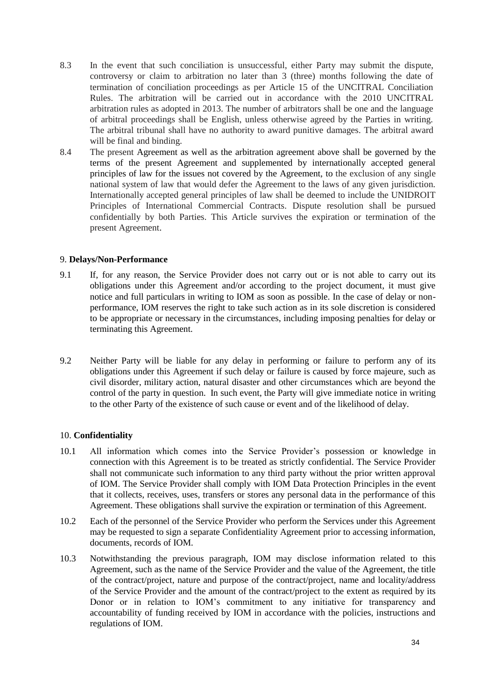- 8.3 In the event that such conciliation is unsuccessful, either Party may submit the dispute, controversy or claim to arbitration no later than 3 (three) months following the date of termination of conciliation proceedings as per Article 15 of the UNCITRAL Conciliation Rules. The arbitration will be carried out in accordance with the 2010 UNCITRAL arbitration rules as adopted in 2013. The number of arbitrators shall be one and the language of arbitral proceedings shall be English, unless otherwise agreed by the Parties in writing. The arbitral tribunal shall have no authority to award punitive damages. The arbitral award will be final and binding.
- 8.4 The present Agreement as well as the arbitration agreement above shall be governed by the terms of the present Agreement and supplemented by internationally accepted general principles of law for the issues not covered by the Agreement, to the exclusion of any single national system of law that would defer the Agreement to the laws of any given jurisdiction. Internationally accepted general principles of law shall be deemed to include the UNIDROIT Principles of International Commercial Contracts. Dispute resolution shall be pursued confidentially by both Parties. This Article survives the expiration or termination of the present Agreement.

### 9. **Delays/Non-Performance**

- 9.1 If, for any reason, the Service Provider does not carry out or is not able to carry out its obligations under this Agreement and/or according to the project document, it must give notice and full particulars in writing to IOM as soon as possible. In the case of delay or nonperformance, IOM reserves the right to take such action as in its sole discretion is considered to be appropriate or necessary in the circumstances, including imposing penalties for delay or terminating this Agreement.
- 9.2 Neither Party will be liable for any delay in performing or failure to perform any of its obligations under this Agreement if such delay or failure is caused by force majeure, such as civil disorder, military action, natural disaster and other circumstances which are beyond the control of the party in question. In such event, the Party will give immediate notice in writing to the other Party of the existence of such cause or event and of the likelihood of delay.

### 10. **Confidentiality**

- 10.1 All information which comes into the Service Provider's possession or knowledge in connection with this Agreement is to be treated as strictly confidential. The Service Provider shall not communicate such information to any third party without the prior written approval of IOM. The Service Provider shall comply with IOM Data Protection Principles in the event that it collects, receives, uses, transfers or stores any personal data in the performance of this Agreement. These obligations shall survive the expiration or termination of this Agreement.
- 10.2 Each of the personnel of the Service Provider who perform the Services under this Agreement may be requested to sign a separate Confidentiality Agreement prior to accessing information, documents, records of IOM.
- 10.3 Notwithstanding the previous paragraph, IOM may disclose information related to this Agreement, such as the name of the Service Provider and the value of the Agreement, the title of the contract/project, nature and purpose of the contract/project, name and locality/address of the Service Provider and the amount of the contract/project to the extent as required by its Donor or in relation to IOM's commitment to any initiative for transparency and accountability of funding received by IOM in accordance with the policies, instructions and regulations of IOM.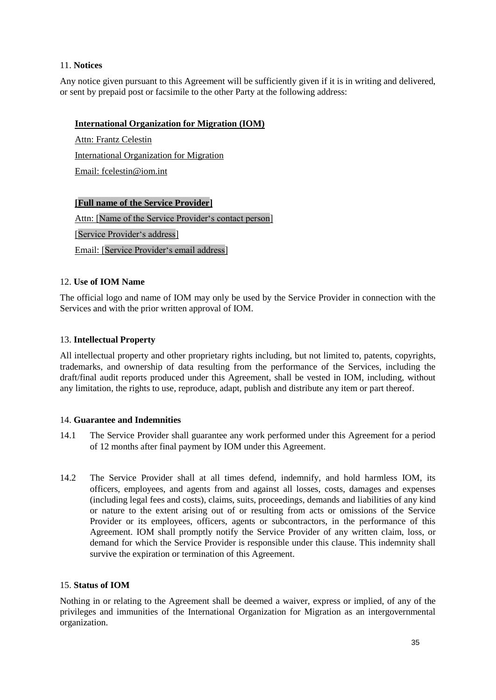### 11. **Notices**

Any notice given pursuant to this Agreement will be sufficiently given if it is in writing and delivered, or sent by prepaid post or facsimile to the other Party at the following address:

### **International Organization for Migration (IOM)**

Attn: Frantz Celestin International Organization for Migration Email: fcelestin@iom.int

# **[Full name of the Service Provider]**

Attn: [Name of the Service Provider's contact person] [Service Provider's address] Email: [Service Provider's email address]

## 12. **Use of IOM Name**

The official logo and name of IOM may only be used by the Service Provider in connection with the Services and with the prior written approval of IOM.

### 13. **Intellectual Property**

All intellectual property and other proprietary rights including, but not limited to, patents, copyrights, trademarks, and ownership of data resulting from the performance of the Services, including the draft/final audit reports produced under this Agreement, shall be vested in IOM, including, without any limitation, the rights to use, reproduce, adapt, publish and distribute any item or part thereof.

### 14. **Guarantee and Indemnities**

- 14.1 The Service Provider shall guarantee any work performed under this Agreement for a period of 12 months after final payment by IOM under this Agreement.
- 14.2 The Service Provider shall at all times defend, indemnify, and hold harmless IOM, its officers, employees, and agents from and against all losses, costs, damages and expenses (including legal fees and costs), claims, suits, proceedings, demands and liabilities of any kind or nature to the extent arising out of or resulting from acts or omissions of the Service Provider or its employees, officers, agents or subcontractors, in the performance of this Agreement. IOM shall promptly notify the Service Provider of any written claim, loss, or demand for which the Service Provider is responsible under this clause. This indemnity shall survive the expiration or termination of this Agreement.

### 15. **Status of IOM**

Nothing in or relating to the Agreement shall be deemed a waiver, express or implied, of any of the privileges and immunities of the International Organization for Migration as an intergovernmental organization.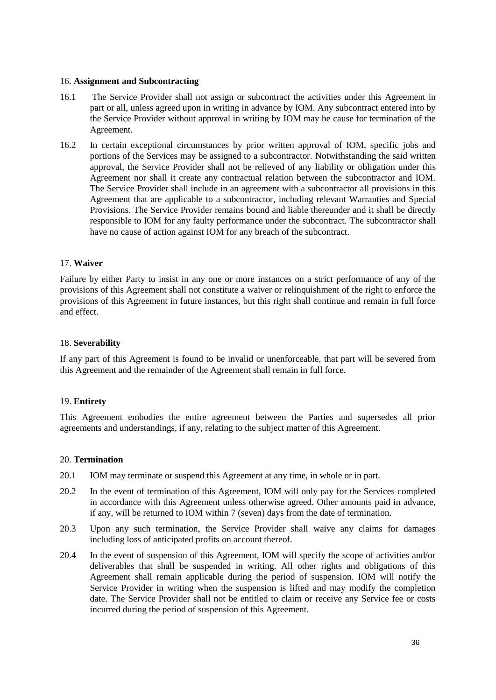#### 16. **Assignment and Subcontracting**

- 16.1 The Service Provider shall not assign or subcontract the activities under this Agreement in part or all, unless agreed upon in writing in advance by IOM. Any subcontract entered into by the Service Provider without approval in writing by IOM may be cause for termination of the Agreement.
- 16.2 In certain exceptional circumstances by prior written approval of IOM, specific jobs and portions of the Services may be assigned to a subcontractor. Notwithstanding the said written approval, the Service Provider shall not be relieved of any liability or obligation under this Agreement nor shall it create any contractual relation between the subcontractor and IOM. The Service Provider shall include in an agreement with a subcontractor all provisions in this Agreement that are applicable to a subcontractor, including relevant Warranties and Special Provisions. The Service Provider remains bound and liable thereunder and it shall be directly responsible to IOM for any faulty performance under the subcontract. The subcontractor shall have no cause of action against IOM for any breach of the subcontract.

### 17. **Waiver**

Failure by either Party to insist in any one or more instances on a strict performance of any of the provisions of this Agreement shall not constitute a waiver or relinquishment of the right to enforce the provisions of this Agreement in future instances, but this right shall continue and remain in full force and effect.

### 18. **Severability**

If any part of this Agreement is found to be invalid or unenforceable, that part will be severed from this Agreement and the remainder of the Agreement shall remain in full force.

### 19. **Entirety**

This Agreement embodies the entire agreement between the Parties and supersedes all prior agreements and understandings, if any, relating to the subject matter of this Agreement.

#### 20. **Termination**

- 20.1 IOM may terminate or suspend this Agreement at any time, in whole or in part.
- 20.2 In the event of termination of this Agreement, IOM will only pay for the Services completed in accordance with this Agreement unless otherwise agreed. Other amounts paid in advance, if any, will be returned to IOM within 7 (seven) days from the date of termination.
- 20.3 Upon any such termination, the Service Provider shall waive any claims for damages including loss of anticipated profits on account thereof.
- 20.4 In the event of suspension of this Agreement, IOM will specify the scope of activities and/or deliverables that shall be suspended in writing. All other rights and obligations of this Agreement shall remain applicable during the period of suspension. IOM will notify the Service Provider in writing when the suspension is lifted and may modify the completion date. The Service Provider shall not be entitled to claim or receive any Service fee or costs incurred during the period of suspension of this Agreement.